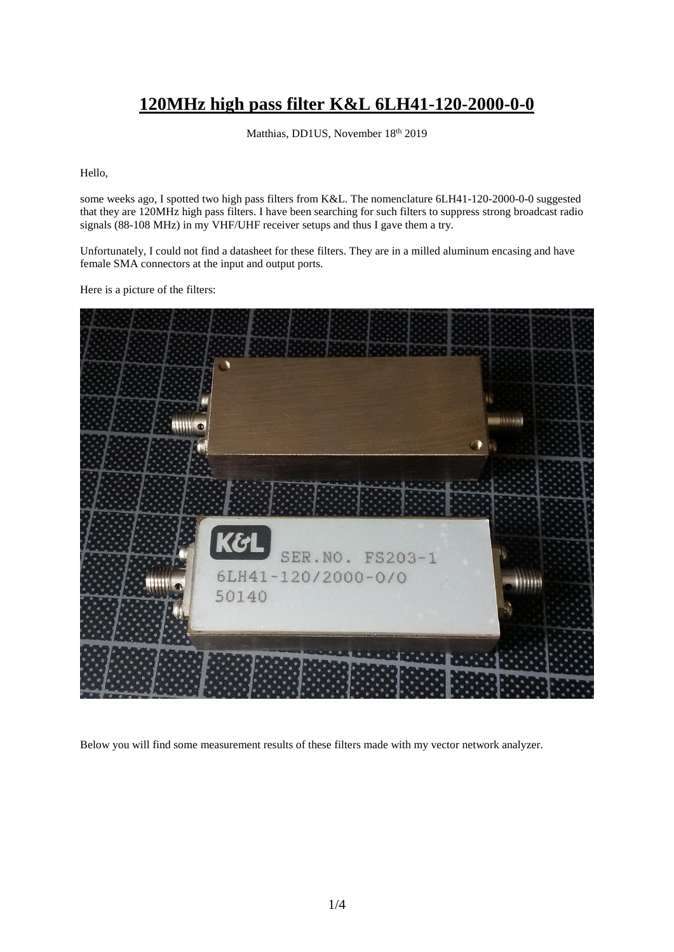## **120MHz high pass filter K&L 6LH41-120-2000-0-0**

Matthias, DD1US, November 18th 2019

Hello,

some weeks ago, I spotted two high pass filters from K&L. The nomenclature 6LH41-120-2000-0-0 suggested that they are 120MHz high pass filters. I have been searching for such filters to suppress strong broadcast radio signals (88-108 MHz) in my VHF/UHF receiver setups and thus I gave them a try.

Unfortunately, I could not find a datasheet for these filters. They are in a milled aluminum encasing and have female SMA connectors at the input and output ports.

Here is a picture of the filters:



Below you will find some measurement results of these filters made with my vector network analyzer.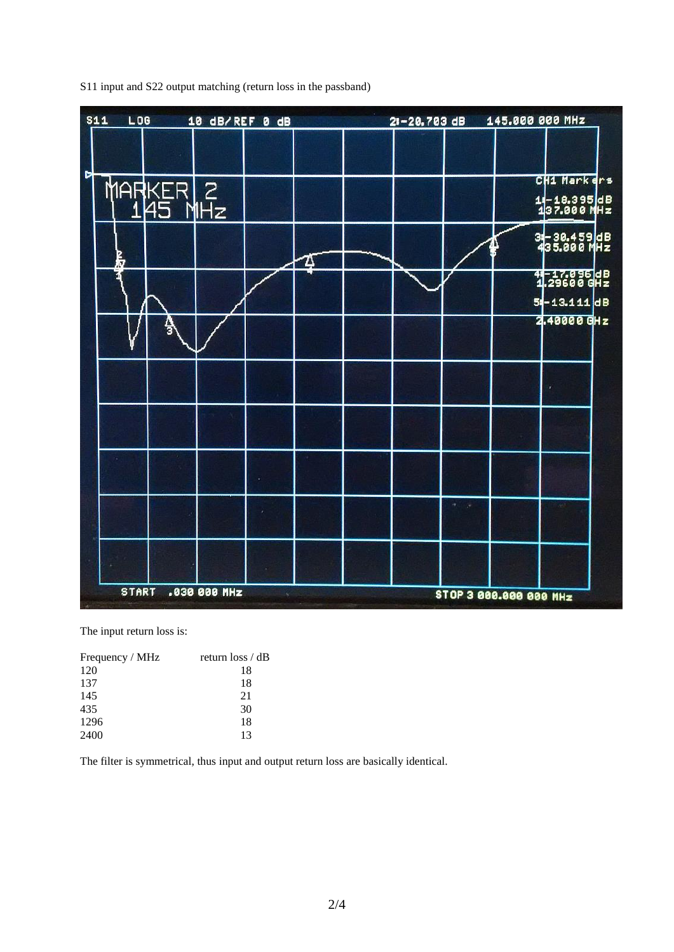| <b>S11</b><br><b>LOG</b><br>10 dB/REF 0 dB |                       |              |  |    |  | 145.000 000 MHz<br>$21 - 20.703$ dB |  |                        |                             |  |
|--------------------------------------------|-----------------------|--------------|--|----|--|-------------------------------------|--|------------------------|-----------------------------|--|
|                                            |                       |              |  |    |  |                                     |  |                        |                             |  |
|                                            |                       |              |  |    |  |                                     |  |                        | CH1 Markers                 |  |
|                                            | MARKER 2<br>  145 MHz |              |  |    |  |                                     |  |                        | 11-18.395 dB<br>137.000 MHz |  |
|                                            |                       |              |  |    |  |                                     |  |                        |                             |  |
|                                            |                       |              |  |    |  |                                     |  |                        | 3-30.459 dB<br>435.000 MHz  |  |
| P<br>Kr                                    |                       |              |  | 25 |  |                                     |  |                        |                             |  |
|                                            |                       |              |  |    |  |                                     |  |                        | 41-17.096 dB<br>1.29600 GHz |  |
|                                            |                       |              |  |    |  |                                     |  |                        | 54-13.111 dB<br>2.40000 GHz |  |
|                                            |                       |              |  |    |  |                                     |  |                        |                             |  |
|                                            |                       |              |  |    |  |                                     |  |                        |                             |  |
|                                            |                       |              |  |    |  |                                     |  |                        |                             |  |
|                                            |                       |              |  |    |  |                                     |  |                        |                             |  |
|                                            |                       |              |  |    |  |                                     |  |                        |                             |  |
|                                            |                       |              |  |    |  |                                     |  |                        |                             |  |
|                                            |                       |              |  |    |  |                                     |  |                        |                             |  |
|                                            |                       |              |  |    |  |                                     |  |                        |                             |  |
|                                            |                       |              |  |    |  |                                     |  |                        |                             |  |
|                                            |                       |              |  |    |  |                                     |  |                        |                             |  |
|                                            |                       |              |  |    |  |                                     |  |                        |                             |  |
| <b>START</b>                               |                       | .030 000 MHz |  |    |  |                                     |  | STOP 3 000.000 000 MHz |                             |  |

S11 input and S22 output matching (return loss in the passband)

The input return loss is:

| Frequency / MHz | return $\cos / dB$ |
|-----------------|--------------------|
| 120             | 18                 |
| 137             | 18                 |
| 145             | 21                 |
| 435             | 30                 |
| 1296            | 18                 |
| 2400            | 13                 |

The filter is symmetrical, thus input and output return loss are basically identical.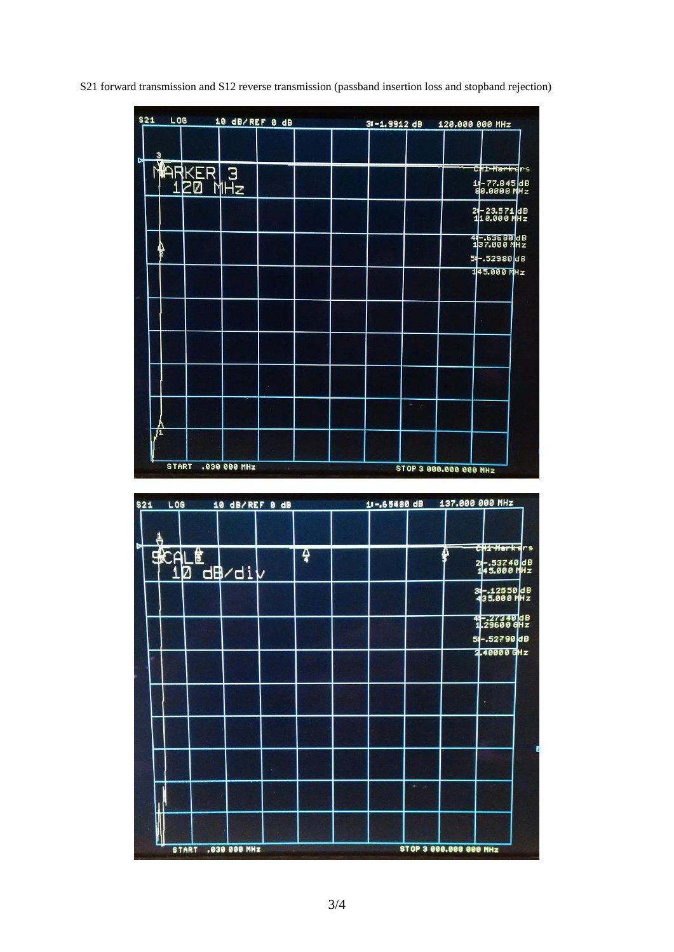S21 forward transmission and S12 reverse transmission (passband insertion loss and stopband rejection)

| \$21<br>LOG  |                            |              | 10 dB/REF 0 dB | $31 - 1.9912$ dB |   | 120.000 000 MHz        |                                 |
|--------------|----------------------------|--------------|----------------|------------------|---|------------------------|---------------------------------|
| з            |                            |              |                |                  |   |                        |                                 |
|              |                            |              |                |                  |   |                        | <del>CH1 Marke</del> rs         |
|              | <b>MARKER 3</b><br>120 MHz |              |                |                  |   |                        | 14-77.845 dB<br>80.0000 MHz     |
|              |                            |              |                |                  |   |                        | 24-23.571 dB<br>118.000 MHz     |
|              |                            |              |                |                  |   |                        | 4-53680 dB<br>137.000 MHz       |
|              |                            |              |                |                  |   |                        | $5 - 52980 dB$<br>$145.000$ MHz |
|              |                            |              |                |                  |   |                        |                                 |
|              |                            |              |                |                  |   |                        |                                 |
|              |                            |              |                |                  |   |                        |                                 |
|              |                            |              |                |                  |   |                        |                                 |
|              |                            |              |                |                  | ٠ |                        |                                 |
| 71           |                            |              |                |                  |   |                        |                                 |
| <b>START</b> |                            | .030 000 MHz |                |                  |   | STOP 3 000.000 000 MHz |                                 |

| \$21<br>LOG  |   | 10 dB/REF 0 dB |   | 11-,65480 dB | 137.000 000 MHz |   |                                            |
|--------------|---|----------------|---|--------------|-----------------|---|--------------------------------------------|
|              |   |                |   |              |                 |   | CHI-Markers                                |
| <b>SCALE</b> | Ø | -<br>_da∕di    | ą |              |                 | ₽ | 24-.53740 dB<br>145.000 MHz                |
|              |   |                |   |              |                 |   | 3-12550 dB<br>435.000 MHz                  |
|              |   |                |   |              |                 |   | 41-27340 dB<br>1.29600 GHz<br>54-.52790 dB |
|              |   |                |   |              |                 |   | 2.40000 GHz                                |
|              |   |                |   |              |                 |   |                                            |
|              |   |                |   |              |                 |   |                                            |
|              |   |                |   |              |                 |   |                                            |
|              |   |                |   |              |                 |   |                                            |
|              |   |                |   |              |                 |   |                                            |